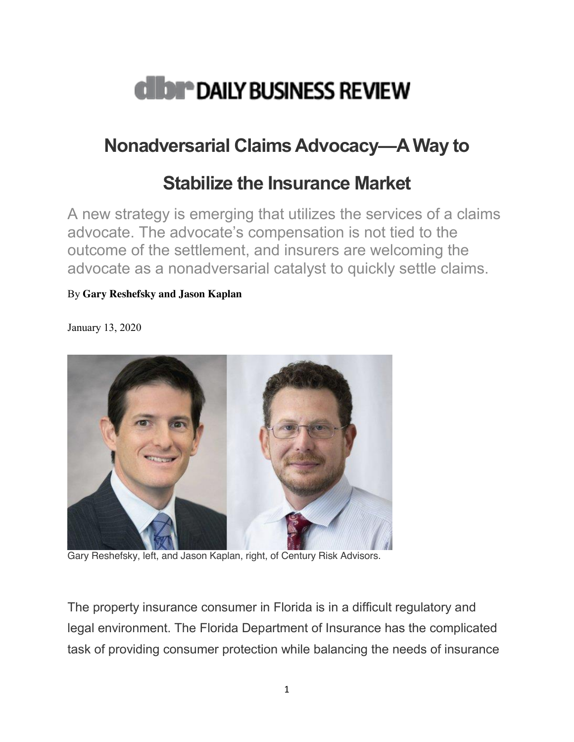

## **Nonadversarial Claims Advocacy—A Way to**

## **Stabilize the Insurance Market**

A new strategy is emerging that utilizes the services of a claims advocate. The advocate's compensation is not tied to the outcome of the settlement, and insurers are welcoming the advocate as a nonadversarial catalyst to quickly settle claims.

## By **Gary Reshefsky and Jason Kaplan**

January 13, 2020



Gary Reshefsky, left, and Jason Kaplan, right, of Century Risk Advisors.

The property insurance consumer in Florida is in a difficult regulatory and legal environment. The Florida Department of Insurance has the complicated task of providing consumer protection while balancing the needs of insurance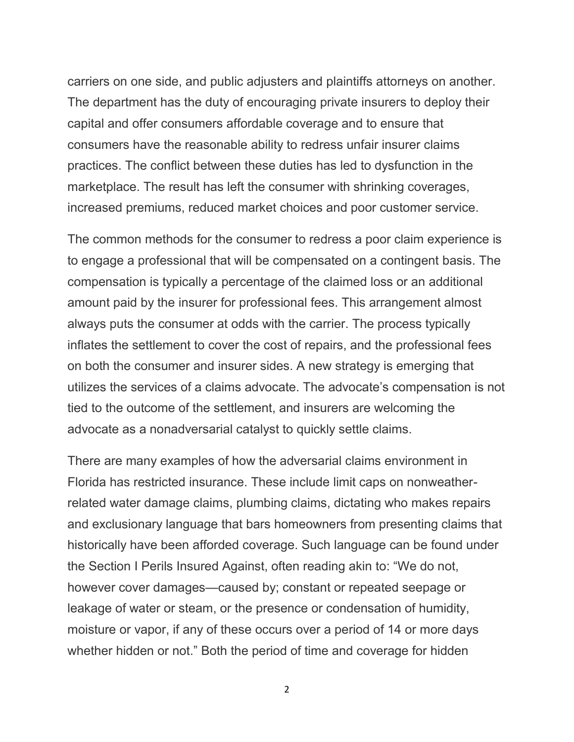carriers on one side, and public adjusters and plaintiffs attorneys on another. The department has the duty of encouraging private insurers to deploy their capital and offer consumers affordable coverage and to ensure that consumers have the reasonable ability to redress unfair insurer claims practices. The conflict between these duties has led to dysfunction in the marketplace. The result has left the consumer with shrinking coverages, increased premiums, reduced market choices and poor customer service.

The common methods for the consumer to redress a poor claim experience is to engage a professional that will be compensated on a contingent basis. The compensation is typically a percentage of the claimed loss or an additional amount paid by the insurer for professional fees. This arrangement almost always puts the consumer at odds with the carrier. The process typically inflates the settlement to cover the cost of repairs, and the professional fees on both the consumer and insurer sides. A new strategy is emerging that utilizes the services of a claims advocate. The advocate's compensation is not tied to the outcome of the settlement, and insurers are welcoming the advocate as a nonadversarial catalyst to quickly settle claims.

There are many examples of how the adversarial claims environment in Florida has restricted insurance. These include limit caps on nonweatherrelated water damage claims, plumbing claims, dictating who makes repairs and exclusionary language that bars homeowners from presenting claims that historically have been afforded coverage. Such language can be found under the Section I Perils Insured Against, often reading akin to: "We do not, however cover damages—caused by; constant or repeated seepage or leakage of water or steam, or the presence or condensation of humidity, moisture or vapor, if any of these occurs over a period of 14 or more days whether hidden or not." Both the period of time and coverage for hidden

2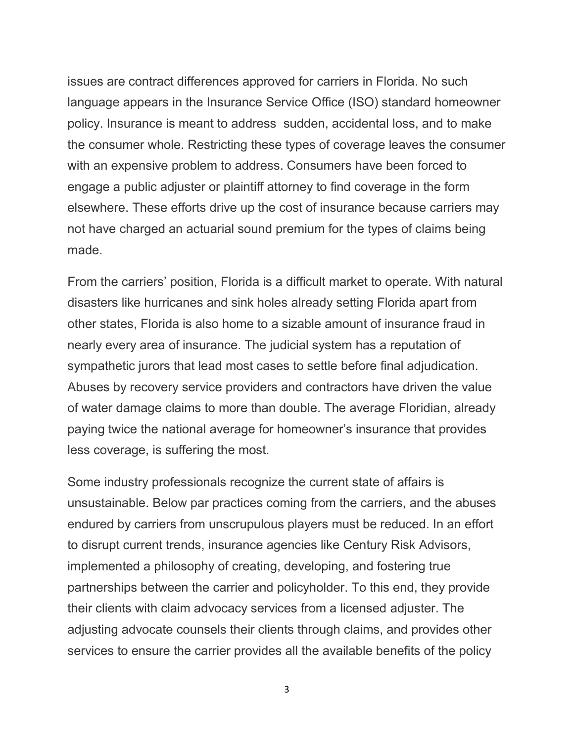issues are contract differences approved for carriers in Florida. No such language appears in the Insurance Service Office (ISO) standard homeowner policy. Insurance is meant to address sudden, accidental loss, and to make the consumer whole. Restricting these types of coverage leaves the consumer with an expensive problem to address. Consumers have been forced to engage a public adjuster or plaintiff attorney to find coverage in the form elsewhere. These efforts drive up the cost of insurance because carriers may not have charged an actuarial sound premium for the types of claims being made.

From the carriers' position, Florida is a difficult market to operate. With natural disasters like hurricanes and sink holes already setting Florida apart from other states, Florida is also home to a sizable amount of insurance fraud in nearly every area of insurance. The judicial system has a reputation of sympathetic jurors that lead most cases to settle before final adjudication. Abuses by recovery service providers and contractors have driven the value of water damage claims to more than double. The average Floridian, already paying twice the national average for homeowner's insurance that provides less coverage, is suffering the most.

Some industry professionals recognize the current state of affairs is unsustainable. Below par practices coming from the carriers, and the abuses endured by carriers from unscrupulous players must be reduced. In an effort to disrupt current trends, insurance agencies like Century Risk Advisors, implemented a philosophy of creating, developing, and fostering true partnerships between the carrier and policyholder. To this end, they provide their clients with claim advocacy services from a licensed adjuster. The adjusting advocate counsels their clients through claims, and provides other services to ensure the carrier provides all the available benefits of the policy